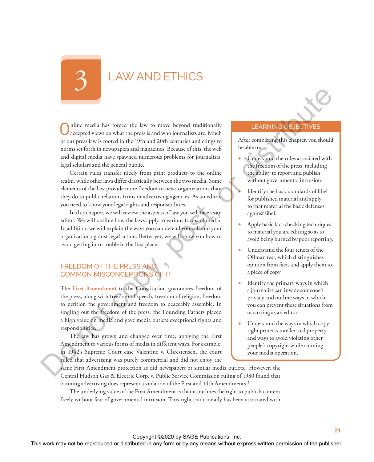# LAW AND ETHICS

Online media has forced the law to move beyond traditionally accepted views on what the press is and who journalists are. Much of our press law is rooted in the 19th and 20th centuries and clings to norms set forth in newspapers and magazines. Because of this, the web and digital media have spawned numerous problems for journalists, legal scholars and the general public. The mass is the result of the results of the results of the results of the results of the results of the results of the publisher or distributed in any or the publisher or distributed in any means of the publisher. Certai

Certain rules transfer nicely from print products to the online realm, while other laws differ drastically between the two media. Some elements of the law provide more freedom to news organizations than they do to public relations firms or advertising agencies. As an editor, you need to know your legal rights and responsibilities.

In this chapter, we will review the aspects of law you will face as an editor. We will outline how the laws apply to various forms of media. In addition, we will explain the ways you can defend yourself and your organization against legal action. Better yet, we will show you how to avoid getting into trouble in the first place.

# FREEDOM OF THE PRESS AND COMMON MISCONCEPTIONS OF IT

The **First Amendment** to the Constitution guarantees freedom of the press, along with freedom of speech, freedom of religion, freedom to petition the government and freedom to peaceably assemble. In singling out the freedom of the press, the Founding Fathers placed a high value on media and gave media outlets exceptional rights and responsibilities.

The law has grown and changed over time, applying the First Amendment to various forms of media in different ways. For example, in 1942's Supreme Court case Valentine v. Chrestensen, the court ruled that advertising was purely commercial and did not enjoy the

#### LEARNING OBJECTIVES

After completing this chapter, you should be able to:

- Understand the rules associated with the freedom of the press, including the ability to report and publish without governmental intrusion.
	- Identify the basic standards of libel for published material and apply to that material the basic defenses against libel.
- Apply basic fact-checking techniques to material you are editing so as to avoid being burned by poor reporting.
- Understand the four tenets of the Ollman test, which distinguishes opinion from fact, and apply them to a piece of copy.
- Identify the primary ways in which a journalist can invade someone's privacy and outline ways in which you can prevent these situations from occurring as an editor.
- Understand the ways in which copyright protects intellectual property and ways to avoid violating other people's copyright while running your media operation.

same First Amendment protection as did newspapers or similar media outlets.<sup>1</sup> However, the Central Hudson Gas & Electric Corp. v. Public Service Commission ruling of 1980 found that banning advertising does represent a violation of the First and 14th Amendments.<sup>2</sup>

The underlying value of the First Amendment is that it outlines the right to publish content freely without fear of governmental intrusion. This right traditionally has been associated with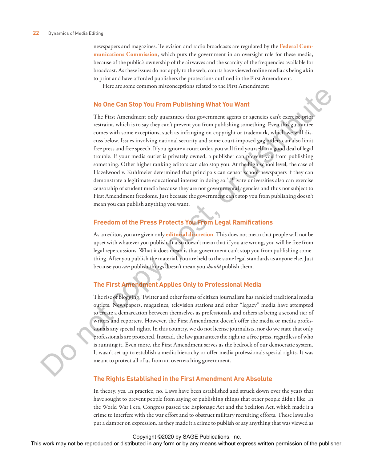newspapers and magazines. Television and radio broadcasts are regulated by the **Federal Communications Commission**, which puts the government in an oversight role for these media, because of the public's ownership of the airwaves and the scarcity of the frequencies available for broadcast. As these issues do not apply to the web, courts have viewed online media as being akin to print and have afforded publishers the protections outlined in the First Amendment.

Here are some common misconceptions related to the First Amendment:

#### **No One Can Stop You From Publishing What You Want**

The First Amendment only guarantees that government agents or agencies can't exercise prior restraint, which is to say they can't prevent you from publishing something. Even this guarantee comes with some exceptions, such as infringing on copyright or trademark, which we will discuss below. Issues involving national security and some court-imposed gag orders can also limit free press and free speech. If you ignore a court order, you will find yourself in a good deal of legal trouble. If your media outlet is privately owned, a publisher can prevent you from publishing something. Other higher ranking editors can also stop you. At the high school level, the case of Hazelwood v. Kuhlmeier determined that principals can censor school newspapers if they can demonstrate a legitimate educational interest in doing so.3 Private universities also can exercise censorship of student media because they are not governmental agencies and thus not subject to First Amendment freedoms. Just because the government can't stop you from publishing doesn't mean you can publish anything you want. **The Fourier or the reproduced or distributed in any form of the reproduced in any form or distributed in any form or the publisher or distributed in any form or by an interaction of the publisher. The means were the publ** 

# **Freedom of the Press Protects You From Legal Ramifications**

As an editor, you are given only **editorial discretion**. This does not mean that people will not be upset with whatever you publish. It also doesn't mean that if you are wrong, you will be free from legal repercussions. What it does mean is that government can't stop you from publishing something. After you publish the material, you are held to the same legal standards as anyone else. Just because you *can* publish things doesn't mean you *should* publish them.

#### **The First Amendment Applies Only to Professional Media**

The rise of blogging, Twitter and other forms of citizen journalism has rankled traditional media outlets. Newspapers, magazines, television stations and other "legacy" media have attempted to create a demarcation between themselves as professionals and others as being a second tier of writers and reporters. However, the First Amendment doesn't offer the media or media professionals any special rights. In this country, we do not license journalists, nor do we state that only professionals are protected. Instead, the law guarantees the right to a free press, regardless of who is running it. Even more, the First Amendment serves as the bedrock of our democratic system. It wasn't set up to establish a media hierarchy or offer media professionals special rights. It was meant to protect all of us from an overreaching government.

#### **The Rights Established in the First Amendment Are Absolute**

In theory, yes. In practice, no. Laws have been established and struck down over the years that have sought to prevent people from saying or publishing things that other people didn't like. In the World War I era, Congress passed the Espionage Act and the Sedition Act, which made it a crime to interfere with the war effort and to obstruct military recruiting efforts. These laws also put a damper on expression, as they made it a crime to publish or say anything that was viewed as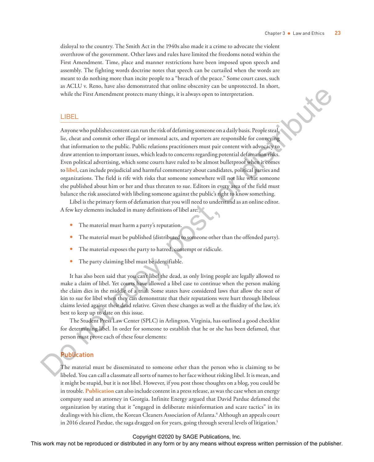disloyal to the country. The Smith Act in the 1940s also made it a crime to advocate the violent overthrow of the government. Other laws and rules have limited the freedoms noted within the First Amendment. Time, place and manner restrictions have been imposed upon speech and assembly. The fighting words doctrine notes that speech can be curtailed when the words are meant to do nothing more than incite people to a "breach of the peace." Some court cases, such as ACLU v. Reno, have also demonstrated that online obscenity can be unprotected. In short, while the First Amendment protects many things, it is always open to interpretation.

# LIBEL

Anyone who publishes content can run the risk of defaming someone on a daily basis. People steal, lie, cheat and commit other illegal or immoral acts, and reporters are responsible for conveying that information to the public. Public relations practitioners must pair content with advocacy to draw attention to important issues, which leads to concerns regarding potential defamation risks. Even political advertising, which some courts have ruled to be almost bulletproof when it comes to **libel**, can include prejudicial and harmful commentary about candidates, political parties and organizations. The field is rife with risks that someone somewhere will not like what someone else published about him or her and thus threaten to sue. Editors in every area of the field must balance the risk associated with libeling someone against the public's right to know something. Fig. 2. The mass three produced or distributed in any means were reproduced by any means when the representation of the reproduced or the publisher content of the publisher. The publisher content of the publisher content

Libel is the primary form of defamation that you will need to understand as an online editor. A few key elements included in many definitions of libel are:

- The material must harm a party's reputation.
- The material must be published (distributed to someone other than the offended party).
- The material exposes the party to hatred, contempt or ridicule.
- The party claiming libel must be identifiable.

It has also been said that you can't libel the dead, as only living people are legally allowed to make a claim of libel. Yet courts have allowed a libel case to continue when the person making the claim dies in the middle of a trial. Some states have considered laws that allow the next of kin to sue for libel when they can demonstrate that their reputations were hurt through libelous claims levied against their dead relative. Given these changes as well as the fluidity of the law, it's best to keep up to date on this issue.

The Student Press Law Center (SPLC) in Arlington, Virginia, has outlined a good checklist for determining libel. In order for someone to establish that he or she has been defamed, that person must prove each of these four elements:

# **Publication**

The material must be disseminated to someone other than the person who is claiming to be libeled. You can call a classmate all sorts of names to her face without risking libel. It is mean, and it might be stupid, but it is not libel. However, if you post those thoughts on a blog, you could be in trouble. **Publication** can also include content in a press release, as was the case when an energy company sued an attorney in Georgia. Infinite Energy argued that David Pardue defamed the organization by stating that it "engaged in deliberate misinformation and scare tactics" in its dealings with his client, the Korean Cleaners Association of Atlanta.<sup>4</sup> Although an appeals court in 2016 cleared Pardue, the saga dragged on for years, going through several levels of litigation.5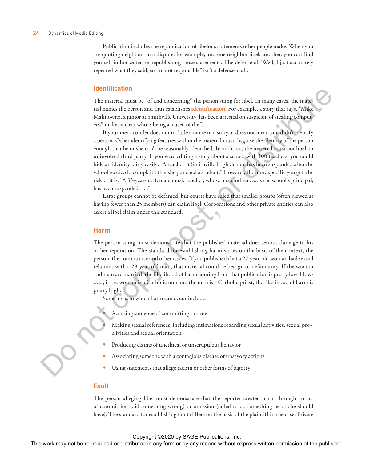#### **24** Dynamics of Media Editing

Publication includes the republication of libelous statements other people make. When you are quoting neighbors in a dispute, for example, and one neighbor libels another, you can find yourself in hot water for republishing those statements. The defense of "Well, I just accurately repeated what they said, so I'm not responsible" isn't a defense at all.

#### **Identification**

The material must be "of and concerning" the person suing for libel. In many cases, the material names the person and thus establishes **identification**. For example, a story that says, "Mike Malinowitz, a junior at Smithville University, has been arrested on suspicion of stealing computers," makes it clear who is being accused of theft.

If your media outlet does not include a name in a story, it does not mean you didn't identify a person. Other identifying features within the material must disguise the identity of the person enough that he or she can't be reasonably identified. In addition, the material must not libel an uninvolved third party. If you were editing a story about a school with 100 teachers, you could hide an identity fairly easily: "A teacher at Smithville High School has been suspended after the school received a complaint that she punched a student." However, the more specific you get, the riskier it is: "A 35-year-old female music teacher, whose husband serves as the school's principal, has been suspended. . . ." **The matrix work may not be reproduced in any form or distributed in any form or by any form or distributed in any form or by any form or**  $\mathbb{R}^n$ **. This means we have reproduced by any mean the publisher. If you conclud** 

Large groups cannot be defamed, but courts have ruled that smaller groups (often viewed as having fewer than 25 members) can claim libel. Corporations and other private entities can also assert a libel claim under this standard.

#### **Harm**

The person suing must demonstrate that the published material does serious damage to his or her reputation. The standard for establishing harm varies on the basis of the context, the person, the community and other issues. If you published that a 27-year-old woman had sexual relations with a 28-year-old man, that material could be benign or defamatory. If the woman and man are married, the likelihood of harm coming from that publication is pretty low. However, if the woman is a Catholic nun and the man is a Catholic priest, the likelihood of harm is pretty high.

Some areas in which harm can occur include:

- Accusing someone of committing a crime
- Making sexual references, including intimations regarding sexual activities, sexual proclivities and sexual orientation
- Producing claims of unethical or unscrupulous behavior
- Associating someone with a contagious disease or unsavory actions
- Using statements that allege racism or other forms of bigotry

#### **Fault**

The person alleging libel must demonstrate that the reporter created harm through an act of commission (did something wrong) or omission (failed to do something he or she should have). The standard for establishing fault differs on the basis of the plaintiff in the case. Private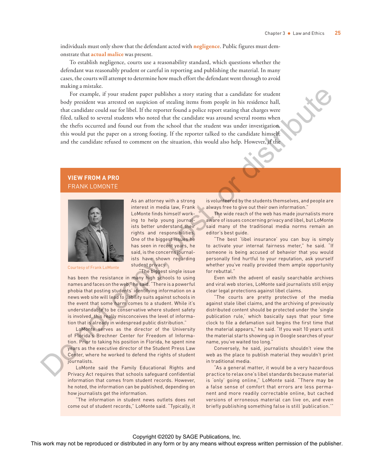individuals must only show that the defendant acted with **negligence**. Public figures must demonstrate that **actual malice** was present.

To establish negligence, courts use a reasonability standard, which questions whether the defendant was reasonably prudent or careful in reporting and publishing the material. In many cases, the courts will attempt to determine how much effort the defendant went through to avoid making a mistake.

For example, if your student paper publishes a story stating that a candidate for student body president was arrested on suspicion of stealing items from people in his residence hall, that candidate could sue for libel. If the reporter found a police report stating that charges were filed, talked to several students who noted that the candidate was around several rooms when the thefts occurred and found out from the school that the student was under investigation, this would put the paper on a strong footing. If the reporter talked to the candidate himself, and the candidate refused to comment on the situation, this would also help. However, if the The matrix of the matrix with a string the couple with respect to the publisher and the matrix of the matrix policies were remained that the matrix policies were remained that the couple of the publisher. This work may no

# **VIEW FROM A PRO** FRANK LOMONTE



Courtesy of Frank LoMonte

As an attorney with a strong interest in media law, Frank LoMonte finds himself working to help young journalists better understand their rights and responsibilities. One of the biggest issues he has seen in recent years, he said, is the concerns journalists have shown regarding student privacy.

"The biggest single issue

has been the resistance in many high schools to using names and faces on the web," he said. "There is a powerful phobia that posting students' identifying information on a news web site will lead to liability suits against schools in the event that some harm comes to a student. While it's understandable to be conservative where student safety is involved, this really misconceives the level of information that is already in widespread public distribution."

LoMonte serves as the director of the University of Florida's Brechner Center for Freedom of Information. Prior to taking his position in Florida, he spent nine years as the executive director of the Student Press Law Center, where he worked to defend the rights of student journalists.

LoMonte said the Family Educational Rights and Privacy Act requires that schools safeguard confidential information that comes from student records. However, he noted, the information can be published, depending on how journalists get the information.

"The information in student news outlets does not come out of student records," LoMonte said. "Typically, it is volunteered by the students themselves, and people are always free to give out their own information."

The wide reach of the web has made journalists more aware of issues concerning privacy and libel, but LoMonte said many of the traditional media norms remain an editor's best guide.

"The best 'libel insurance' you can buy is simply to activate your internal fairness meter," he said. "If someone is being accused of behavior that you would personally find hurtful to your reputation, ask yourself whether you've really provided them ample opportunity for rebuttal."

Even with the advent of easily searchable archives and viral web stories, LoMonte said journalists still enjoy clear legal protections against libel claims.

"The courts are pretty protective of the media against stale libel claims, and the archiving of previously distributed content should be protected under the 'single publication rule,' which basically says that your time clock to file a defamation suit begins the first time that the material appears," he said. "If you wait 10 years until the material starts showing up in Google searches of your name, you've waited too long."

Conversely, he said, journalists shouldn't view the web as the place to publish material they wouldn't print in traditional media.

"As a general matter, it would be a very hazardous practice to relax one's libel standards because material is 'only' going online," LoMonte said. "There may be a false sense of comfort that errors are less permanent and more readily correctable online, but cached versions of erroneous material can live on, and even briefly publishing something false is still 'publication.'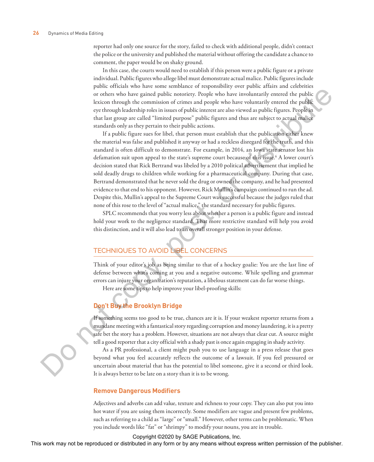reporter had only one source for the story, failed to check with additional people, didn't contact the police or the university and published the material without offering the candidate a chance to comment, the paper would be on shaky ground.

In this case, the courts would need to establish if this person were a public figure or a private individual. Public figures who allege libel must demonstrate actual malice. Public figures include public officials who have some semblance of responsibility over public affairs and celebrities or others who have gained public notoriety. People who have involuntarily entered the public lexicon through the commission of crimes and people who have voluntarily entered the public eye through leadership roles in issues of public interest are also viewed as public figures. People in that last group are called "limited purpose" public figures and thus are subject to actual malice standards only as they pertain to their public actions.

If a public figure sues for libel, that person must establish that the publication either knew the material was false and published it anyway or had a reckless disregard for the truth, and this standard is often difficult to demonstrate. For example, in 2014, an Iowa state senator lost his defamation suit upon appeal to the state's supreme court because of this issue.6 A lower court's decision stated that Rick Bertrand was libeled by a 2010 political advertisement that implied he sold deadly drugs to children while working for a pharmaceutical company. During that case, Bertrand demonstrated that he never sold the drug or owned the company, and he had presented evidence to that end to his opponent. However, Rick Mullin's campaign continued to run the ad. Despite this, Mullin's appeal to the Supreme Court was successful because the judges ruled that none of this rose to the level of "actual malice," the standard necessary for public figures. The control of the results and the results of the results and the results of the results and the results and the results are pressure to the bulk of the results and the publisher. The publisher and the publisher in any me

SPLC recommends that you worry less about whether a person is a public figure and instead hold your work to the negligence standard. That more restrictive standard will help you avoid this distinction, and it will also lead to an overall stronger position in your defense.

# TECHNIQUES TO AVOID LIBEL CONCERNS

Think of your editor's job as being similar to that of a hockey goalie: You are the last line of defense between what's coming at you and a negative outcome. While spelling and grammar errors can injure your organization's reputation, a libelous statement can do far worse things.

Here are some tips to help improve your libel-proofing skills:

# **Don't Buy the Brooklyn Bridge**

If something seems too good to be true, chances are it is. If your weakest reporter returns from a mundane meeting with a fantastical story regarding corruption and money laundering, it is a pretty safe bet the story has a problem. However, situations are not always that clear cut. A source might tell a good reporter that a city official with a shady past is once again engaging in shady activity.

As a PR professional, a client might push you to use language in a press release that goes beyond what you feel accurately reflects the outcome of a lawsuit. If you feel pressured or uncertain about material that has the potential to libel someone, give it a second or third look. It is always better to be late on a story than it is to be wrong.

#### **Remove Dangerous Modifiers**

Adjectives and adverbs can add value, texture and richness to your copy. They can also put you into hot water if you are using them incorrectly. Some modifiers are vague and present few problems, such as referring to a child as "large" or "small." However, other terms can be problematic. When you include words like "fat" or "shrimpy" to modify your nouns, you are in trouble.

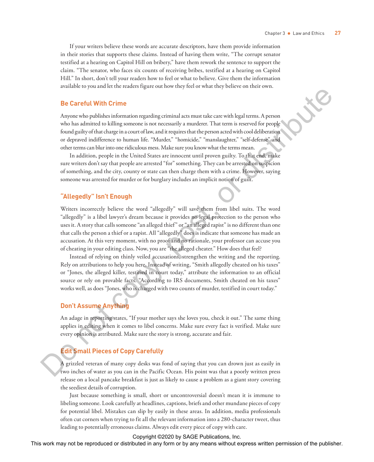If your writers believe these words are accurate descriptors, have them provide information in their stories that supports these claims. Instead of having them write, "The corrupt senator testified at a hearing on Capitol Hill on bribery," have them rework the sentence to support the claim. "The senator, who faces six counts of receiving bribes, testified at a hearing on Capitol Hill." In short, don't tell your readers how to feel or what to believe. Give them the information available to you and let the readers figure out how they feel or what they believe on their own.

#### **Be Careful With Crime**

Anyone who publishes information regarding criminal acts must take care with legal terms. A person who has admitted to killing someone is not necessarily a murderer. That term is reserved for people found guilty of that charge in a court of law, and it requires that the person acted with cool deliberation or depraved indifference to human life. "Murder," "homicide," "manslaughter," "self-defense" and other terms can blur into one ridiculous mess. Make sure you know what the terms mean.

In addition, people in the United States are innocent until proven guilty. To that end, make sure writers don't say that people are arrested "for" something. They can be arrested on suspicion of something, and the city, county or state can then charge them with a crime. However, saying someone was arrested for murder or for burglary includes an implicit notion of guilt.

#### **"Allegedly" Isn't Enough**

Writers incorrectly believe the word "allegedly" will save them from libel suits. The word "allegedly" is a libel lawyer's dream because it provides no legal protection to the person who uses it. A story that calls someone "an alleged thief" or "an alleged rapist" is no different than one that calls the person a thief or a rapist. All "allegedly" does is indicate that someone has made an accusation. At this very moment, with no proof and no rationale, your professor can accuse you of cheating in your editing class. Now, you are "the alleged cheater." How does that feel? **The Care of the reproduced or distributed in any form or the repression of the reproduced or a significant control or the reproduced in any means with the repression of the publisher. The result of the publisher is any m** 

Instead of relying on thinly veiled accusations, strengthen the writing and the reporting. Rely on attributions to help you here. Instead of writing, "Smith allegedly cheated on his taxes" or "Jones, the alleged killer, testified in court today," attribute the information to an official source or rely on provable facts. "According to IRS documents, Smith cheated on his taxes" works well, as does "Jones, who is charged with two counts of murder, testified in court today."

# **Don't Assume Anything**

An adage in reporting states, "If your mother says she loves you, check it out." The same thing applies in editing when it comes to libel concerns. Make sure every fact is verified. Make sure every opinion is attributed. Make sure the story is strong, accurate and fair.

# **Edit Small Pieces of Copy Carefully**

A grizzled veteran of many copy desks was fond of saying that you can drown just as easily in two inches of water as you can in the Pacific Ocean. His point was that a poorly written press release on a local pancake breakfast is just as likely to cause a problem as a giant story covering the seediest details of corruption.

Just because something is small, short or uncontroversial doesn't mean it is immune to libeling someone. Look carefully at headlines, captions, briefs and other mundane pieces of copy for potential libel. Mistakes can slip by easily in these areas. In addition, media professionals often cut corners when trying to fit all the relevant information into a 280-character tweet, thus leading to potentially erroneous claims. Always edit every piece of copy with care.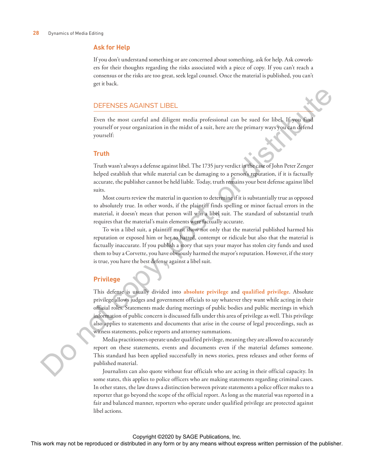#### **Ask for Help**

If you don't understand something or are concerned about something, ask for help. Ask coworkers for their thoughts regarding the risks associated with a piece of copy. If you can't reach a consensus or the risks are too great, seek legal counsel. Once the material is published, you can't get it back.

#### DEFENSES AGAINST LIBEL

Even the most careful and diligent media professional can be sued for libel. If you find yourself or your organization in the midst of a suit, here are the primary ways you can defend yourself:

#### **Truth**

Truth wasn't always a defense against libel. The 1735 jury verdict in the case of John Peter Zenger helped establish that while material can be damaging to a person's reputation, if it is factually accurate, the publisher cannot be held liable. Today, truth remains your best defense against libel suits.

Most courts review the material in question to determine if it is substantially true as opposed to absolutely true. In other words, if the plaintiff finds spelling or minor factual errors in the material, it doesn't mean that person will win a libel suit. The standard of substantial truth requires that the material's main elements were factually accurate.

To win a libel suit, a plaintiff must show not only that the material published harmed his reputation or exposed him or her to hatred, contempt or ridicule but also that the material is factually inaccurate. If you publish a story that says your mayor has stolen city funds and used them to buy a Corvette, you have obviously harmed the mayor's reputation. However, if the story is true, you have the best defense against a libel suit.

#### **Privilege**

This defense is usually divided into **absolute privilege** and **qualified privilege**. Absolute privilege allows judges and government officials to say whatever they want while acting in their official roles. Statements made during meetings of public bodies and public meetings in which information of public concern is discussed falls under this area of privilege as well. This privilege also applies to statements and documents that arise in the course of legal proceedings, such as witness statements, police reports and attorney summations. DEFENNES AGAINNT LIBEL<br>
Even the nost conciler and different order performant an is easel for history wave and performant permission of the publisher concept of the publisher. The publishers are comparison of the publishe

Media practitioners operate under qualified privilege, meaning they are allowed to accurately report on these statements, events and documents even if the material defames someone. This standard has been applied successfully in news stories, press releases and other forms of published material.

Journalists can also quote without fear officials who are acting in their official capacity. In some states, this applies to police officers who are making statements regarding criminal cases. In other states, the law draws a distinction between private statements a police officer makes to a reporter that go beyond the scope of the official report. As long as the material was reported in a fair and balanced manner, reporters who operate under qualified privilege are protected against libel actions.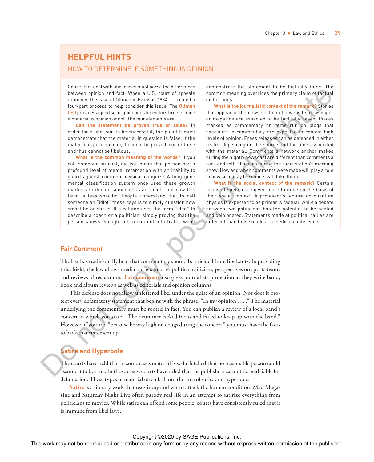# **HELPFUL HINTS**

# HOW TO DETERMINE IF SOMETHING IS OPINION

Courts that deal with libel cases must parse the differences between opinion and fact. When a U.S. court of appeals examined the case of Ollman v. Evans in 1984, it created a four-part process to help consider this issue. The **Ollman test** provides a good set of guidelines for editors to determine if material is opinion or not. The four elements are:

**Can the statement be proven true or false?** In order for a libel suit to be successful, the plaintiff must demonstrate that the material in question is false. If the material is pure opinion, it cannot be proved true or false and thus cannot be libelous.

**What is the common meaning of the words?** If you call someone an idiot, did you mean that person has a profound level of mental retardation with an inability to guard against common physical dangers? A long-gone mental classification system once used these growth markers to denote someone as an "idiot," but now this term is less specific. People understand that to call someone an "idiot" these days is to simply question how smart he or she is. If a column uses the term "idiot" to describe a coach or a politician, simply proving that the person knows enough not to run out into traffic won't

demonstrate the statement to be factually false. The common meaning overrides the primary claim of factual distinctions.

**What is the journalistic context of the remark?** Stories that appear in the news section of a website, newspaper or magazine are expected to be factually based. Pieces marked as commentary or items run on blogs that specialize in commentary are expected to contain high levels of opinion. Press releases can be defended in either realm, depending on the source and the tone associated with the material. Comments a network anchor makes during the nightly newscast are different than comments a rock and roll DJ makes during the radio station's morning show. How and when comments were made will play a role in how seriously the courts will take them.

**What is the social context of the remark?** Certain forms of speech are given more latitude on the basis of their social context. A professor's lecture on quantum physics is expected to be primarily factual, while a debate between two politicians has the potential to be heated and opinionated. Statements made at political rallies are different than those made at a medical conference.

#### **Fair Comment**

The law has traditionally held that commentary should be shielded from libel suits. In providing this shield, the law allows media outlets to offer political criticism, perspectives on sports teams and reviews of restaurants. **Fair comment** also gives journalists protection as they write band, book and album reviews as well as editorials and opinion columns.

This defense does not allow unfettered libel under the guise of an opinion. Nor does it protect every defamatory statement that begins with the phrase, "In my opinion . . . ." The material underlying the commentary must be rooted in fact. You can publish a review of a local band's concert in which you state, "The drummer lacked focus and failed to keep up with the band." However, if you add "because he was high on drugs during the concert," you must have the facts to back that statement up. This work may not be repressed to the rest in any field or distributed in any field or distributed in any field or distributed in a statistical in any field of the publisher and the publisher and the publisher and the pub

# **Satire and Hyperbole**

The courts have held that in some cases material is so farfetched that no reasonable person could assume it to be true. In those cases, courts have ruled that the publishers cannot be held liable for defamation. These types of material often fall into the area of satire and hyperbole.

**Satire** is a literary work that uses irony and wit to attack the human condition. Mad Magazine and Saturday Night Live often parody real life in an attempt to satirize everything from politicians to movies. While satire can offend some people, courts have consistently ruled that it is immune from libel laws.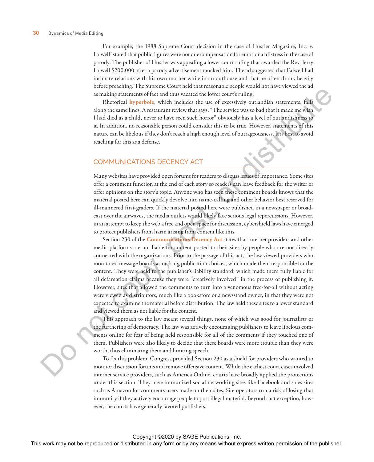For example, the 1988 Supreme Court decision in the case of Hustler Magazine, Inc. v. Falwell<sup>7</sup> stated that public figures were not due compensation for emotional distress in the case of parody. The publisher of Hustler was appealing a lower court ruling that awarded the Rev. Jerry Falwell \$200,000 after a parody advertisement mocked him. The ad suggested that Falwell had intimate relations with his own mother while in an outhouse and that he often drank heavily before preaching. The Supreme Court held that reasonable people would not have viewed the ad as making statements of fact and thus vacated the lower court's ruling.

Rhetorical **hyperbole**, which includes the use of excessively outlandish statements, falls along the same lines. A restaurant review that says, "The service was so bad that it made me wish I had died as a child, never to have seen such horror" obviously has a level of outlandishness to it. In addition, no reasonable person could consider this to be true. However, statements of this nature can be libelous if they don't reach a high enough level of outrageousness. It is best to avoid reaching for this as a defense.

#### COMMUNICATIONS DECENCY ACT

Many websites have provided open forums for readers to discuss issues of importance. Some sites offer a comment function at the end of each story so readers can leave feedback for the writer or offer opinions on the story's topic. Anyone who has seen these comment boards knows that the material posted here can quickly devolve into name-calling and other behavior best reserved for ill-mannered first-graders. If the material posted here were published in a newspaper or broadcast over the airwaves, the media outlets would likely face serious legal repercussions. However, in an attempt to keep the web a free and open space for discussion, cybershield laws have emerged to protect publishers from harm arising from content like this.

Section 230 of the **Communications Decency Act** states that internet providers and other media platforms are not liable for content posted to their sites by people who are not directly connected with the organizations. Prior to the passage of this act, the law viewed providers who monitored message boards as making publication choices, which made them responsible for the content. They were held to the publisher's liability standard, which made them fully liable for all defamation claims because they were "creatively involved" in the process of publishing it. However, sites that allowed the comments to turn into a venomous free-for-all without acting were viewed as distributors, much like a bookstore or a newsstand owner, in that they were not expected to examine the material before distribution. The law held these sites to a lower standard and viewed them as not liable for the content. This method is a stributed or distributed in any method in any form or by any formor or between the control in a stributed in a stributed in a stributed in a stributed in a stributed in a stributed in a stributed in a str

This approach to the law meant several things, none of which was good for journalists or the furthering of democracy. The law was actively encouraging publishers to leave libelous comments online for fear of being held responsible for all of the comments if they touched one of them. Publishers were also likely to decide that these boards were more trouble than they were worth, thus eliminating them and limiting speech.

To fix this problem, Congress provided Section 230 as a shield for providers who wanted to monitor discussion forums and remove offensive content. While the earliest court cases involved internet service providers, such as America Online, courts have broadly applied the protections under this section. They have immunized social networking sites like Facebook and sales sites such as Amazon for comments users made on their sites. Site operators run a risk of losing that immunity if they actively encourage people to post illegal material. Beyond that exception, however, the courts have generally favored publishers.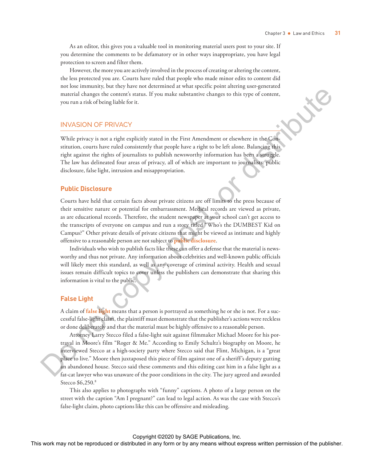As an editor, this gives you a valuable tool in monitoring material users post to your site. If you determine the comments to be defamatory or in other ways inappropriate, you have legal protection to screen and filter them.

However, the more you are actively involved in the process of creating or altering the content, the less protected you are. Courts have ruled that people who made minor edits to content did not lose immunity, but they have not determined at what specific point altering user-generated material changes the content's status. If you make substantive changes to this type of content, you run a risk of being liable for it.

#### INVASION OF PRIVACY

While privacy is not a right explicitly stated in the First Amendment or elsewhere in the Constitution, courts have ruled consistently that people have a right to be left alone. Balancing this right against the rights of journalists to publish newsworthy information has been a struggle. The law has delineated four areas of privacy, all of which are important to journalists: public disclosure, false light, intrusion and misappropriation.

#### **Public Disclosure**

Courts have held that certain facts about private citizens are off limits to the press because of their sensitive nature or potential for embarrassment. Medical records are viewed as private, as are educational records. Therefore, the student newspaper at your school can't get access to the transcripts of everyone on campus and run a story titled "Who's the DUMBEST Kid on Campus?" Other private details of private citizens that might be viewed as intimate and highly offensive to a reasonable person are not subject to **public disclosure**.

Individuals who wish to publish facts like these can offer a defense that the material is newsworthy and thus not private. Any information about celebrities and well-known public officials will likely meet this standard, as well as any coverage of criminal activity. Health and sexual issues remain difficult topics to cover unless the publishers can demonstrate that sharing this information is vital to the public.

### **False Light**

A claim of **false light** means that a person is portrayed as something he or she is not. For a successful false-light claim, the plaintiff must demonstrate that the publisher's actions were reckless or done deliberately and that the material must be highly offensive to a reasonable person.

Attorney Larry Stecco filed a false-light suit against filmmaker Michael Moore for his portrayal in Moore's film "Roger & Me." According to Emily Schultz's biography on Moore, he interviewed Stecco at a high-society party where Stecco said that Flint, Michigan, is a "great place to live." Moore then juxtaposed this piece of film against one of a sheriff's deputy gutting an abandoned house. Stecco said these comments and this editing cast him in a false light as a fat-cat lawyer who was unaware of the poor conditions in the city. The jury agreed and awarded Stecco \$6,250.8 massial shares the conservations. If you make interaction the representation, we represent the reproduced in any form or by any means without express with the publisher or distributed in any form of the conserved or distr

This also applies to photographs with "funny" captions. A photo of a large person on the street with the caption "Am I pregnant?" can lead to legal action. As was the case with Stecco's false-light claim, photo captions like this can be offensive and misleading.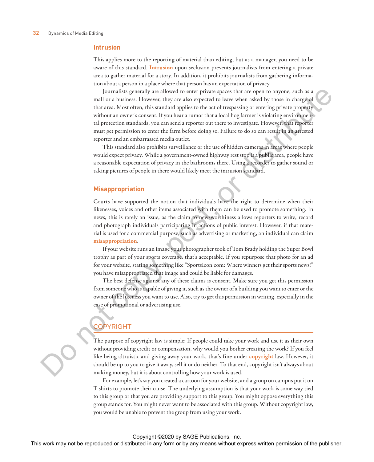#### **Intrusion**

This applies more to the reporting of material than editing, but as a manager, you need to be aware of this standard. **Intrusion** upon seclusion prevents journalists from entering a private area to gather material for a story. In addition, it prohibits journalists from gathering information about a person in a place where that person has an expectation of privacy.

Journalists generally are allowed to enter private spaces that are open to anyone, such as a mall or a business. However, they are also expected to leave when asked by those in charge of that area. Most often, this standard applies to the act of trespassing or entering private property without an owner's consent. If you hear a rumor that a local hog farmer is violating environmental protection standards, you can send a reporter out there to investigate. However, that reporter must get permission to enter the farm before doing so. Failure to do so can result in an arrested reporter and an embarrassed media outlet. The breachest content of the reproduced or the reproduced or the reproduced or the reproduced or the results of the results are the results of the results of the results of the results of the results of the publisher or t

This standard also prohibits surveillance or the use of hidden cameras in areas where people would expect privacy. While a government-owned highway rest stop is a public area, people have a reasonable expectation of privacy in the bathrooms there. Using a recorder to gather sound or taking pictures of people in there would likely meet the intrusion standard.

#### **Misappropriation**

Courts have supported the notion that individuals have the right to determine when their likenesses, voices and other items associated with them can be used to promote something. In news, this is rarely an issue, as the claim to newsworthiness allows reporters to write, record and photograph individuals participating in actions of public interest. However, if that material is used for a commercial purpose, such as advertising or marketing, an individual can claim **misappropriation**.

If your website runs an image your photographer took of Tom Brady holding the Super Bowl trophy as part of your sports coverage, that's acceptable. If you repurpose that photo for an ad for your website, stating something like "SportsIcon.com: Where winners get their sports news!" you have misappropriated that image and could be liable for damages.

The best defense against any of these claims is consent. Make sure you get this permission from someone who is capable of giving it, such as the owner of a building you want to enter or the owner of the likeness you want to use. Also, try to get this permission in writing, especially in the case of promotional or advertising use.

# **OPYRIGHT**

The purpose of copyright law is simple: If people could take your work and use it as their own without providing credit or compensation, why would you bother creating the work? If you feel like being altruistic and giving away your work, that's fine under **copyright** law. However, it should be up to you to give it away, sell it or do neither. To that end, copyright isn't always about making money, but it is about controlling how your work is used.

For example, let's say you created a cartoon for your website, and a group on campus put it on T-shirts to promote their cause. The underlying assumption is that your work is some way tied to this group or that you are providing support to this group. You might oppose everything this group stands for. You might never want to be associated with this group. Without copyright law, you would be unable to prevent the group from using your work.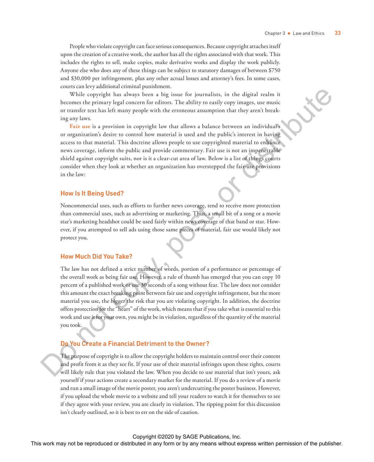People who violate copyright can face serious consequences. Because copyright attaches itself upon the creation of a creative work, the author has all the rights associated with that work. This includes the rights to sell, make copies, make derivative works and display the work publicly. Anyone else who does any of these things can be subject to statutory damages of between \$750 and \$30,000 per infringement, plus any other actual losses and attorney's fees. In some cases, courts can levy additional criminal punishment.

While copyright has always been a big issue for journalists, in the digital realm it becomes the primary legal concern for editors. The ability to easily copy images, use music or transfer text has left many people with the erroneous assumption that they aren't breaking any laws.

**Fair use** is a provision in copyright law that allows a balance between an individual's or organization's desire to control how material is used and the public's interest in having access to that material. This doctrine allows people to use copyrighted material to enhance news coverage, inform the public and provide commentary. Fair use is not an impenetrable shield against copyright suits, nor is it a clear-cut area of law. Below is a list of things courts consider when they look at whether an organization has overstepped the fair-use provisions in the law:

#### **How Is It Being Used?**

Noncommercial uses, such as efforts to further news coverage, tend to receive more protection than commercial uses, such as advertising or marketing. Thus, a small bit of a song or a movie star's marketing headshot could be used fairly within news coverage of that band or star. However, if you attempted to sell ads using those same pieces of material, fair use would likely not protect you.

### **How Much Did You Take?**

The law has not defined a strict number of words, portion of a performance or percentage of the overall work as being fair use. However, a rule of thumb has emerged that you can copy 10 percent of a published work or use 30 seconds of a song without fear. The law does not consider this amount the exact breaking point between fair use and copyright infringement, but the more material you use, the bigger the risk that you are violating copyright. In addition, the doctrine offers protection for the "heart" of the work, which means that if you take what is essential to this work and use it for your own, you might be in violation, regardless of the quantity of the material you took. When  $\alpha$  may have been the reproduced or distributed in any fit is a significant in any form or the reproduced in any form or by any means with the publisher. The results is a significant to a significant to the publishe

#### **Do You Create a Financial Detriment to the Owner?**

The purpose of copyright is to allow the copyright holders to maintain control over their content and profit from it as they see fit. If your use of their material infringes upon these rights, courts will likely rule that you violated the law. When you decide to use material that isn't yours, ask yourself if your actions create a secondary market for the material. If you do a review of a movie and run a small image of the movie poster, you aren't undercutting the poster business. However, if you upload the whole movie to a website and tell your readers to watch it for themselves to see if they agree with your review, you are clearly in violation. The tipping point for this discussion isn't clearly outlined, so it is best to err on the side of caution.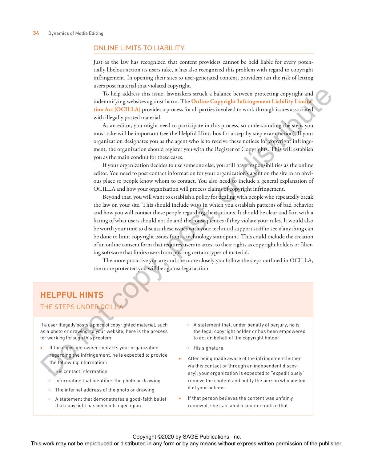#### ONLINE LIMITS TO LIABILITY

Just as the law has recognized that content providers cannot be held liable for every potentially libelous action its users take, it has also recognized this problem with regard to copyright infringement. In opening their sites to user-generated content, providers ran the risk of letting users post material that violated copyright.

To help address this issue, lawmakers struck a balance between protecting copyright and indemnifying websites against harm. The **Online Copyright Infringement Liability Limitation Act (OCILLA)** provides a process for all parties involved to work through issues associated with illegally posted material.

As an editor, you might need to participate in this process, so understanding the steps you must take will be important (see the Helpful Hints box for a step-by-step examination). If your organization designates you as the agent who is to receive these notices for copyright infringement, the organization should register you with the Register of Copyrights. This will establish you as the main conduit for these cases.

If your organization decides to use someone else, you still have responsibilities as the online editor. You need to post contact information for your organization's agent on the site in an obvious place so people know whom to contact. You also need to include a general explanation of OCILLA and how your organization will process claims of copyright infringement.

Beyond that, you will want to establish a policy for dealing with people who repeatedly break the law on your site. This should include ways in which you establish patterns of bad behavior and how you will contact these people regarding their actions. It should be clear and fair, with a listing of what users should not do and the consequences if they violate your rules. It would also be worth your time to discuss these issues with your technical support staff to see if anything can be done to limit copyright issues from a technology standpoint. This could include the creation of an online consent form that requires users to attest to their rights as copyright holders or filtering software that limits users from posting certain types of material. The control or the rest in the rest in the rest or distributed in any form of the rest or distributed in any form of the rest of the rest or the rest or  $\mu$  and  $\mu$  and  $\mu$  and  $\mu$  and  $\mu$  and  $\mu$  and  $\mu$  and  $\mu$ 

The more proactive you are and the more closely you follow the steps outlined in OCILLA, the more protected you will be against legal action.

# **HELPFUL HINTS** THE STEPS UNDER OCI

If a user illegally posts a piece of copyrighted material, such as a photo or drawing, to your website, here is the process for working through this problem:

- If the copyright owner contacts your organization regarding the infringement, he is expected to provide the following information:
	- His contact information
	- Information that identifies the photo or drawing
	- The internet address of the photo or drawing
	- A statement that demonstrates a good-faith belief that copyright has been infringed upon
- A statement that, under penalty of perjury, he is the legal copyright holder or has been empowered to act on behalf of the copyright holder
- $\circ$  His signature
- After being made aware of the infringement (either via this contact or through an independent discovery), your organization is expected to "expeditiously" remove the content and notify the person who posted it of your actions.
- If that person believes the content was unfairly removed, she can send a counter-notice that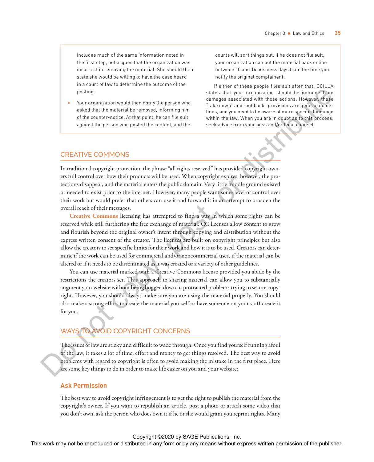includes much of the same information noted in the first step, but argues that the organization was incorrect in removing the material. She should then state she would be willing to have the case heard in a court of law to determine the outcome of the posting.

Your organization would then notify the person who asked that the material be removed, informing him of the counter-notice. At that point, he can file suit against the person who posted the content, and the

courts will sort things out. If he does not file suit, your organization can put the material back online between 10 and 14 business days from the time you notify the original complainant.

If either of these people files suit after that, OCILLA states that your organization should be immune from damages associated with those actions. However, these "take down" and "put back" provisions are general guidelines, and you need to be aware of more specific language within the law. When you are in doubt as to this process, seek advice from your boss and/or legal counsel.

#### CREATIVE COMMONS

In traditional copyright protection, the phrase "all rights reserved" has provided copyright owners full control over how their products will be used. When copyright expires, however, the protections disappear, and the material enters the public domain. Very little middle ground existed or needed to exist prior to the internet. However, many people want some level of control over their work but would prefer that others can use it and forward it in an attempt to broaden the overall reach of their messages.

**Creative Commons** licensing has attempted to find a way in which some rights can be reserved while still furthering the free exchange of material. CC licenses allow content to grow and flourish beyond the original owner's intent through copying and distribution without the express written consent of the creator. The licenses are built on copyright principles but also allow the creators to set specific limits for their work and how it is to be used. Creators can determine if the work can be used for commercial and/or noncommercial uses, if the material can be altered or if it needs to be disseminated as it was created or a variety of other guidelines. **For the reproduced in any fit is the reproduced or distributed or distributed in any form or between the publisher and the reproduced in a state of the publisher and the publisher. The state of the publisher and the pub** 

You can use material marked with a Creative Commons license provided you abide by the restrictions the creators set. This approach to sharing material can allow you to substantially augment your website without being bogged down in protracted problems trying to secure copyright. However, you should always make sure you are using the material properly. You should also make a strong effort to create the material yourself or have someone on your staff create it for you.

# WAYS TO AVOID COPYRIGHT CONCERNS

The issues of law are sticky and difficult to wade through. Once you find yourself running afoul of the law, it takes a lot of time, effort and money to get things resolved. The best way to avoid problems with regard to copyright is often to avoid making the mistake in the first place. Here are some key things to do in order to make life easier on you and your website:

### **Ask Permission**

The best way to avoid copyright infringement is to get the right to publish the material from the copyright's owner. If you want to republish an article, post a photo or attach some video that you don't own, ask the person who does own it if he or she would grant you reprint rights. Many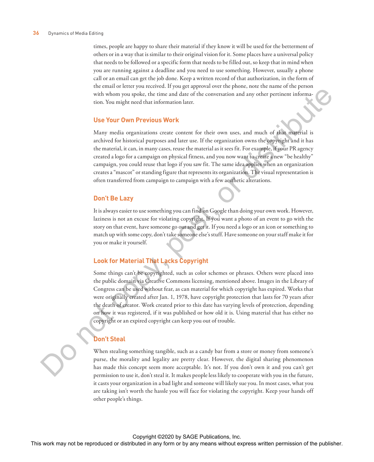times, people are happy to share their material if they know it will be used for the betterment of others or in a way that is similar to their original vision for it. Some places have a universal policy that needs to be followed or a specific form that needs to be filled out, so keep that in mind when you are running against a deadline and you need to use something. However, usually a phone call or an email can get the job done. Keep a written record of that authorization, in the form of the email or letter you received. If you get approval over the phone, note the name of the person with whom you spoke, the time and date of the conversation and any other pertinent information. You might need that information later.

#### **Use Your Own Previous Work**

Many media organizations create content for their own uses, and much of that material is archived for historical purposes and later use. If the organization owns the copyright and it has the material, it can, in many cases, reuse the material as it sees fit. For example, if your PR agency created a logo for a campaign on physical fitness, and you now want to create a new "be healthy" campaign, you could reuse that logo if you saw fit. The same idea applies when an organization creates a "mascot" or standing figure that represents its organization. The visual representation is often transferred from campaign to campaign with a few aesthetic alterations.

#### **Don't Be Lazy**

It is always easier to use something you can find on Google than doing your own work. However, laziness is not an excuse for violating copyright. If you want a photo of an event to go with the story on that event, have someone go out and get it. If you need a logo or an icon or something to match up with some copy, don't take someone else's stuff. Have someone on your staff make it for you or make it yourself.

#### **Look for Material That Lacks Copyright**

Some things can't be copyrighted, such as color schemes or phrases. Others were placed into the public domain via Creative Commons licensing, mentioned above. Images in the Library of Congress can be used without fear, as can material for which copyright has expired. Works that were originally created after Jan. 1, 1978, have copyright protection that lasts for 70 years after the death of creator. Work created prior to this date has varying levels of protection, depending on how it was registered, if it was published or how old it is. Using material that has either no copyright or an expired copyright can keep you out of trouble. with whom you to be reproduced to the result of the convention and any their periodic in any means without express without express with  $\alpha$  any  $\alpha$  and  $\alpha$  any  $\alpha$  and  $\alpha$  any  $\alpha$  be reproduced to the publisher. Mor

#### **Don't Steal**

When stealing something tangible, such as a candy bar from a store or money from someone's purse, the morality and legality are pretty clear. However, the digital sharing phenomenon has made this concept seem more acceptable. It's not. If you don't own it and you can't get permission to use it, don't steal it. It makes people less likely to cooperate with you in the future, it casts your organization in a bad light and someone will likely sue you. In most cases, what you are taking isn't worth the hassle you will face for violating the copyright. Keep your hands off other people's things.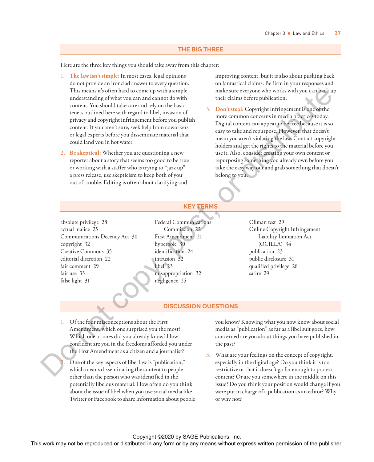#### **THE BIG THREE**

Here are the three key things you should take away from this chapter:

- 1. **The law isn't simple:** In most cases, legal opinions do not provide an ironclad answer to every question. This means it's often hard to come up with a simple understanding of what you can and cannot do with content. You should take care and rely on the basic tenets outlined here with regard to libel, invasion of privacy and copyright infringement before you publish content. If you aren't sure, seek help from coworkers or legal experts before you disseminate material that could land you in hot water.
- 2. **Be skeptical:** Whether you are questioning a new reporter about a story that seems too good to be true or working with a staffer who is trying to "jazz up" a press release, use skepticism to keep both of you out of trouble. Editing is often about clarifying and

improving content, but it is also about pushing back on fantastical claims. Be firm in your responses and make sure everyone who works with you can back up their claims before publication.

3. **Don't steal:** Copyright infringement is one of the more common concerns in media practices today. Digital content can appear to be free because it is so easy to take and repurpose. However, that doesn't mean you aren't violating the law. Contact copyright holders and get the rights to the material before you use it. Also, consider creating your own content or repurposing something you already own before you take the easy way out and grab something that doesn't belong to you. This would indeed to consider the results with the reproduced or distribution or any means when the reproduced in any means with the publisher or or by any first or by any first or by any first or distribution or any mean

#### **KEY TERMS**

absolute privilege 28 actual malice 25 Communications Decency Act 30 copyright 32 Creative Commons 35 editorial discretion 22 fair comment 29 fair use 33 false light 31

Federal Communications Commission 22 First Amendment 21 hyperbole 30 identification 24 intrusion 32 libel 23 misappropriation 32 negligence 25

Ollman test 29 Online Copyright Infringement Liability Limitation Act (OCILLA) 34 publication 23 public disclosure 31 qualified privilege 28 satire 29

#### **DISCUSSION QUESTIONS**

- 1. Of the four misconceptions about the First Amendment, which one surprised you the most? Which one or ones did you already know? How confident are you in the freedoms afforded you under the First Amendment as a citizen and a journalist?
	- One of the key aspects of libel law is "publication," which means disseminating the content to people other than the person who was identified in the potentially libelous material. How often do you think about the issue of libel when you use social media like Twitter or Facebook to share information about people

you know? Knowing what you now know about social media as "publication" as far as a libel suit goes, how concerned are you about things you have published in the past?

3. What are your feelings on the concept of copyright, especially in the digital age? Do you think it is too restrictive or that it doesn't go far enough to protect content? Or are you somewhere in the middle on this issue? Do you think your position would change if you were put in charge of a publication as an editor? Why or why not?